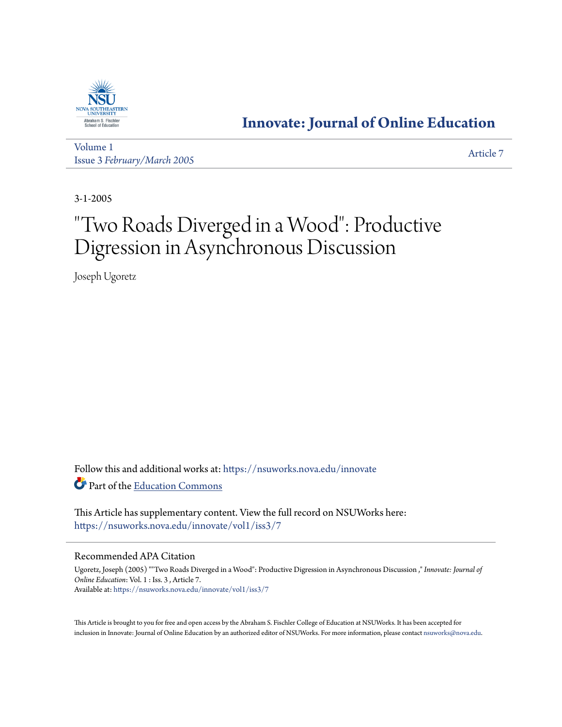

## **[Innovate: Journal of Online Education](https://nsuworks.nova.edu/innovate?utm_source=nsuworks.nova.edu%2Finnovate%2Fvol1%2Fiss3%2F7&utm_medium=PDF&utm_campaign=PDFCoverPages)**

[Volume 1](https://nsuworks.nova.edu/innovate/vol1?utm_source=nsuworks.nova.edu%2Finnovate%2Fvol1%2Fiss3%2F7&utm_medium=PDF&utm_campaign=PDFCoverPages) Issue 3 *[February/March 2005](https://nsuworks.nova.edu/innovate/vol1/iss3?utm_source=nsuworks.nova.edu%2Finnovate%2Fvol1%2Fiss3%2F7&utm_medium=PDF&utm_campaign=PDFCoverPages)* [Article 7](https://nsuworks.nova.edu/innovate/vol1/iss3/7?utm_source=nsuworks.nova.edu%2Finnovate%2Fvol1%2Fiss3%2F7&utm_medium=PDF&utm_campaign=PDFCoverPages)

3-1-2005

# "Two Roads Diverged in a Wood": Productive Digression in Asynchronous Discussion

Joseph Ugoretz

Follow this and additional works at: [https://nsuworks.nova.edu/innovate](https://nsuworks.nova.edu/innovate?utm_source=nsuworks.nova.edu%2Finnovate%2Fvol1%2Fiss3%2F7&utm_medium=PDF&utm_campaign=PDFCoverPages) Part of the [Education Commons](http://network.bepress.com/hgg/discipline/784?utm_source=nsuworks.nova.edu%2Finnovate%2Fvol1%2Fiss3%2F7&utm_medium=PDF&utm_campaign=PDFCoverPages)

This Article has supplementary content. View the full record on NSUWorks here: <https://nsuworks.nova.edu/innovate/vol1/iss3/7>

#### Recommended APA Citation

Ugoretz, Joseph (2005) ""Two Roads Diverged in a Wood": Productive Digression in Asynchronous Discussion ," *Innovate: Journal of Online Education*: Vol. 1 : Iss. 3 , Article 7. Available at: [https://nsuworks.nova.edu/innovate/vol1/iss3/7](https://nsuworks.nova.edu/innovate/vol1/iss3/7?utm_source=nsuworks.nova.edu%2Finnovate%2Fvol1%2Fiss3%2F7&utm_medium=PDF&utm_campaign=PDFCoverPages)

This Article is brought to you for free and open access by the Abraham S. Fischler College of Education at NSUWorks. It has been accepted for inclusion in Innovate: Journal of Online Education by an authorized editor of NSUWorks. For more information, please contact [nsuworks@nova.edu](mailto:nsuworks@nova.edu).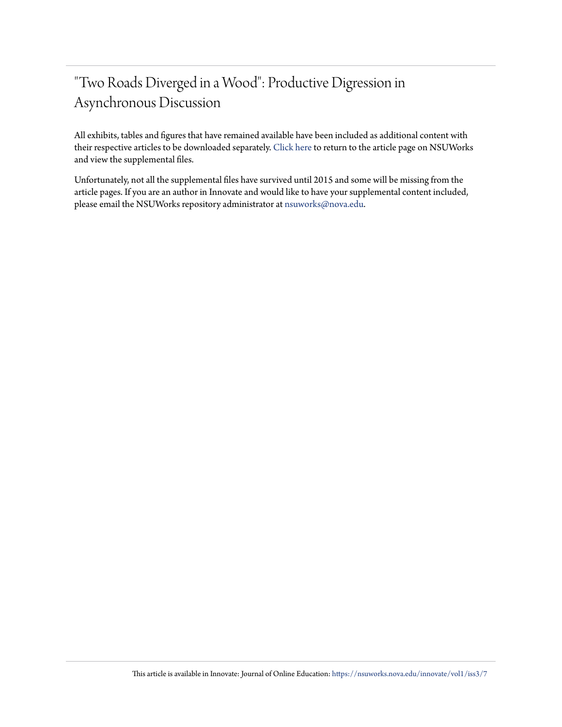# "Two Roads Diverged in a Wood": Productive Digression in Asynchronous Discussion

All exhibits, tables and figures that have remained available have been included as additional content with their respective articles to be downloaded separately. [Click here](https://nsuworks.nova.edu/innovate/vol1/iss3/7) to return to the article page on NSUWorks and view the supplemental files.

Unfortunately, not all the supplemental files have survived until 2015 and some will be missing from the article pages. If you are an author in Innovate and would like to have your supplemental content included, please email the NSUWorks repository administrator at [nsuworks@nova.edu](mailto:nsuworks@nova.edu).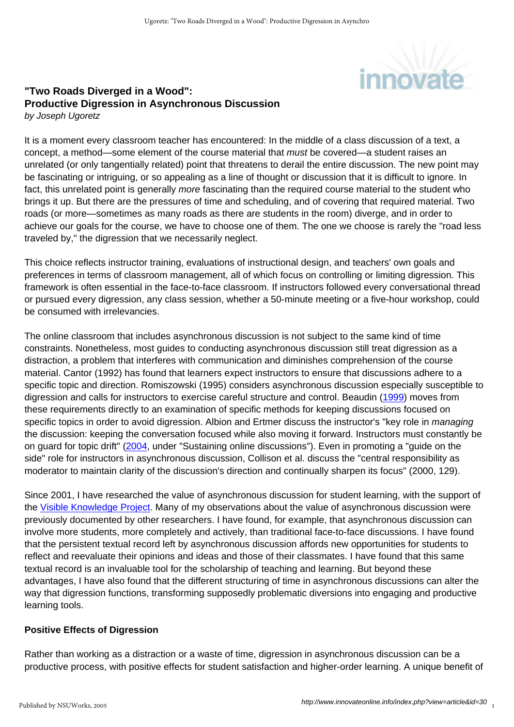

#### **"Two Roads Diverged in a Wood": Productive Digression in Asynchronous Discussion** by Joseph Ugoretz

It is a moment every classroom teacher has encountered: In the middle of a class discussion of a text, a concept, a method—some element of the course material that *must* be covered—a student raises an unrelated (or only tangentially related) point that threatens to derail the entire discussion. The new point may be fascinating or intriguing, or so appealing as a line of thought or discussion that it is difficult to ignore. In fact, this unrelated point is generally more fascinating than the required course material to the student who brings it up. But there are the pressures of time and scheduling, and of covering that required material. Two roads (or more—sometimes as many roads as there are students in the room) diverge, and in order to achieve our goals for the course, we have to choose one of them. The one we choose is rarely the "road less traveled by," the digression that we necessarily neglect.

This choice reflects instructor training, evaluations of instructional design, and teachers' own goals and preferences in terms of classroom management, all of which focus on controlling or limiting digression. This framework is often essential in the face-to-face classroom. If instructors followed every conversational thread or pursued every digression, any class session, whether a 50-minute meeting or a five-hour workshop, could be consumed with irrelevancies.

The online classroom that includes asynchronous discussion is not subject to the same kind of time constraints. Nonetheless, most guides to conducting asynchronous discussion still treat digression as a distraction, a problem that interferes with communication and diminishes comprehension of the course material. Cantor (1992) has found that learners expect instructors to ensure that discussions adhere to a specific topic and direction. Romiszowski (1995) considers asynchronous discussion especially susceptible to digression and calls for instructors to exercise careful structure and control. Beaudin [\(1999\)](http://www.aln.org/publications/jaln/v3n2/v3n2_beaudin.asp) moves from these requirements directly to an examination of specific methods for keeping discussions focused on specific topics in order to avoid digression. Albion and Ertmer discuss the instructor's "key role in *managing* the discussion: keeping the conversation focused while also moving it forward. Instructors must constantly be on guard for topic drift" ([2004](http://ausweb.scu.edu.au/aw04/papers/refereed/albion/paper.html), under "Sustaining online discussions"). Even in promoting a "guide on the side" role for instructors in asynchronous discussion, Collison et al. discuss the "central responsibility as moderator to maintain clarity of the discussion's direction and continually sharpen its focus" (2000, 129).

Since 2001, I have researched the value of asynchronous discussion for student learning, with the support of the [Visible Knowledge Project.](http://crossroads.georgetown.edu/vkp) Many of my observations about the value of asynchronous discussion were previously documented by other researchers. I have found, for example, that asynchronous discussion can involve more students, more completely and actively, than traditional face-to-face discussions. I have found that the persistent textual record left by asynchronous discussion affords new opportunities for students to reflect and reevaluate their opinions and ideas and those of their classmates. I have found that this same textual record is an invaluable tool for the scholarship of teaching and learning. But beyond these advantages, I have also found that the different structuring of time in asynchronous discussions can alter the way that digression functions, transforming supposedly problematic diversions into engaging and productive learning tools.

### **Positive Effects of Digression**

Rather than working as a distraction or a waste of time, digression in asynchronous discussion can be a productive process, with positive effects for student satisfaction and higher-order learning. A unique benefit of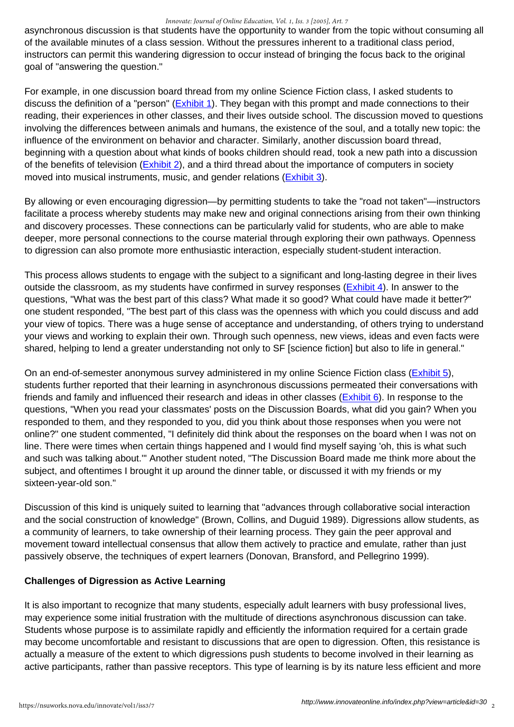#### *Innovate: Journal of Online Education, Vol. 1, Iss. 3 [2005], Art. 7*

asynchronous discussion is that students have the opportunity to wander from the topic without consuming all of the available minutes of a class session. Without the pressures inherent to a traditional class period, instructors can permit this wandering digression to occur instead of bringing the focus back to the original goal of "answering the question."

For example, in one discussion board thread from my online Science Fiction class, I asked students to discuss the definition of a "person" [\(Exhibit 1](http://www.innovateonline.info/extra.php?id=61)). They began with this prompt and made connections to their reading, their experiences in other classes, and their lives outside school. The discussion moved to questions involving the differences between animals and humans, the existence of the soul, and a totally new topic: the influence of the environment on behavior and character. Similarly, another discussion board thread, beginning with a question about what kinds of books children should read, took a new path into a discussion of the benefits of television [\(Exhibit 2\)](http://www.innovateonline.info/extra.php?id=62), and a third thread about the importance of computers in society moved into musical instruments, music, and gender relations [\(Exhibit 3\)](http://www.innovateonline.info/extra.php?id=63).

By allowing or even encouraging digression—by permitting students to take the "road not taken"—instructors facilitate a process whereby students may make new and original connections arising from their own thinking and discovery processes. These connections can be particularly valid for students, who are able to make deeper, more personal connections to the course material through exploring their own pathways. Openness to digression can also promote more enthusiastic interaction, especially student-student interaction.

This process allows students to engage with the subject to a significant and long-lasting degree in their lives outside the classroom, as my students have confirmed in survey responses [\(Exhibit 4](http://www.innovateonline.info/extra.php?id=64)). In answer to the questions, "What was the best part of this class? What made it so good? What could have made it better?" one student responded, "The best part of this class was the openness with which you could discuss and add your view of topics. There was a huge sense of acceptance and understanding, of others trying to understand your views and working to explain their own. Through such openness, new views, ideas and even facts were shared, helping to lend a greater understanding not only to SF [science fiction] but also to life in general."

On an end-of-semester anonymous survey administered in my online Science Fiction class [\(Exhibit 5](http://www.innovateonline.info/extra.php?id=65)), students further reported that their learning in asynchronous discussions permeated their conversations with friends and family and influenced their research and ideas in other classes [\(Exhibit 6\)](http://www.innovateonline.info/extra.php?id=66). In response to the questions, "When you read your classmates' posts on the Discussion Boards, what did you gain? When you responded to them, and they responded to you, did you think about those responses when you were not online?" one student commented, "I definitely did think about the responses on the board when I was not on line. There were times when certain things happened and I would find myself saying 'oh, this is what such and such was talking about.'" Another student noted, "The Discussion Board made me think more about the subject, and oftentimes I brought it up around the dinner table, or discussed it with my friends or my sixteen-year-old son."

Discussion of this kind is uniquely suited to learning that "advances through collaborative social interaction and the social construction of knowledge" (Brown, Collins, and Duguid 1989). Digressions allow students, as a community of learners, to take ownership of their learning process. They gain the peer approval and movement toward intellectual consensus that allow them actively to practice and emulate, rather than just passively observe, the techniques of expert learners (Donovan, Bransford, and Pellegrino 1999).

#### **Challenges of Digression as Active Learning**

It is also important to recognize that many students, especially adult learners with busy professional lives, may experience some initial frustration with the multitude of directions asynchronous discussion can take. Students whose purpose is to assimilate rapidly and efficiently the information required for a certain grade may become uncomfortable and resistant to discussions that are open to digression. Often, this resistance is actually a measure of the extent to which digressions push students to become involved in their learning as active participants, rather than passive receptors. This type of learning is by its nature less efficient and more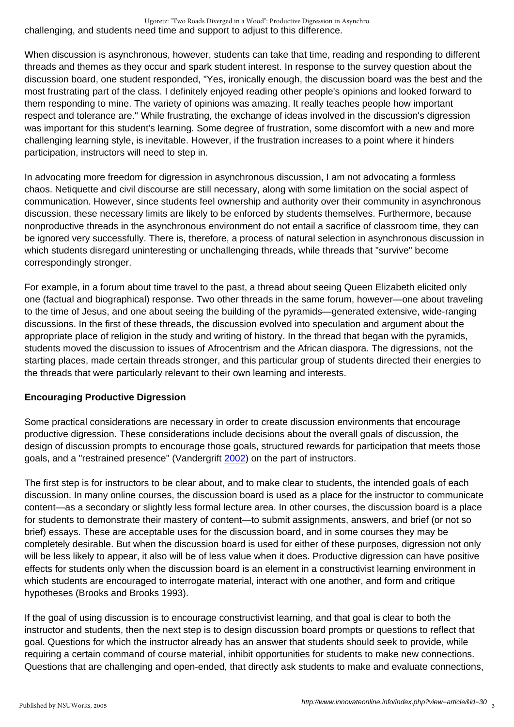challenging, and students need time and support to adjust to this difference. Ugoretz: "Two Roads Diverged in a Wood": Productive Digression in Asynchro

When discussion is asynchronous, however, students can take that time, reading and responding to different threads and themes as they occur and spark student interest. In response to the survey question about the discussion board, one student responded, "Yes, ironically enough, the discussion board was the best and the most frustrating part of the class. I definitely enjoyed reading other people's opinions and looked forward to them responding to mine. The variety of opinions was amazing. It really teaches people how important respect and tolerance are." While frustrating, the exchange of ideas involved in the discussion's digression was important for this student's learning. Some degree of frustration, some discomfort with a new and more challenging learning style, is inevitable. However, if the frustration increases to a point where it hinders participation, instructors will need to step in.

In advocating more freedom for digression in asynchronous discussion, I am not advocating a formless chaos. Netiquette and civil discourse are still necessary, along with some limitation on the social aspect of communication. However, since students feel ownership and authority over their community in asynchronous discussion, these necessary limits are likely to be enforced by students themselves. Furthermore, because nonproductive threads in the asynchronous environment do not entail a sacrifice of classroom time, they can be ignored very successfully. There is, therefore, a process of natural selection in asynchronous discussion in which students disregard uninteresting or unchallenging threads, while threads that "survive" become correspondingly stronger.

For example, in a forum about time travel to the past, a thread about seeing Queen Elizabeth elicited only one (factual and biographical) response. Two other threads in the same forum, however—one about traveling to the time of Jesus, and one about seeing the building of the pyramids—generated extensive, wide-ranging discussions. In the first of these threads, the discussion evolved into speculation and argument about the appropriate place of religion in the study and writing of history. In the thread that began with the pyramids, students moved the discussion to issues of Afrocentrism and the African diaspora. The digressions, not the starting places, made certain threads stronger, and this particular group of students directed their energies to the threads that were particularly relevant to their own learning and interests.

### **Encouraging Productive Digression**

Some practical considerations are necessary in order to create discussion environments that encourage productive digression. These considerations include decisions about the overall goals of discussion, the design of discussion prompts to encourage those goals, structured rewards for participation that meets those goals, and a "restrained presence" (Vandergrift [2002](http://www.aln.org/publications/jaln/v6n1/v6n1_vandergrift.asp)) on the part of instructors.

The first step is for instructors to be clear about, and to make clear to students, the intended goals of each discussion. In many online courses, the discussion board is used as a place for the instructor to communicate content—as a secondary or slightly less formal lecture area. In other courses, the discussion board is a place for students to demonstrate their mastery of content—to submit assignments, answers, and brief (or not so brief) essays. These are acceptable uses for the discussion board, and in some courses they may be completely desirable. But when the discussion board is used for either of these purposes, digression not only will be less likely to appear, it also will be of less value when it does. Productive digression can have positive effects for students only when the discussion board is an element in a constructivist learning environment in which students are encouraged to interrogate material, interact with one another, and form and critique hypotheses (Brooks and Brooks 1993).

If the goal of using discussion is to encourage constructivist learning, and that goal is clear to both the instructor and students, then the next step is to design discussion board prompts or questions to reflect that goal. Questions for which the instructor already has an answer that students should seek to provide, while requiring a certain command of course material, inhibit opportunities for students to make new connections. Questions that are challenging and open-ended, that directly ask students to make and evaluate connections,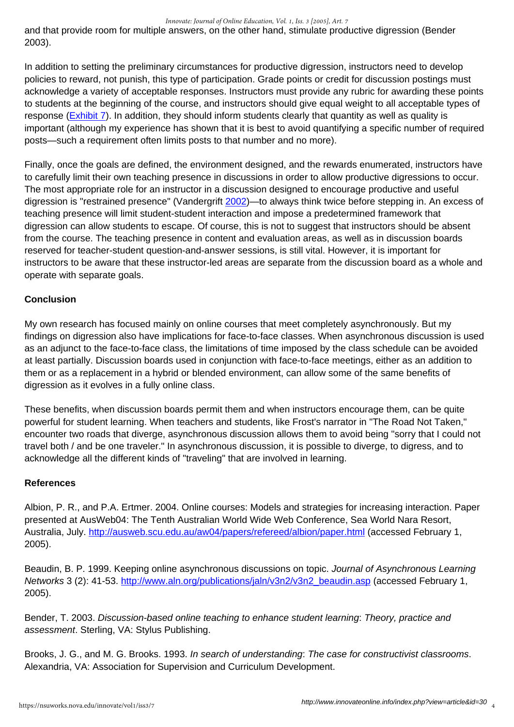#### *Innovate: Journal of Online Education, Vol. 1, Iss. 3 [2005], Art. 7*

and that provide room for multiple answers, on the other hand, stimulate productive digression (Bender 2003).

In addition to setting the preliminary circumstances for productive digression, instructors need to develop policies to reward, not punish, this type of participation. Grade points or credit for discussion postings must acknowledge a variety of acceptable responses. Instructors must provide any rubric for awarding these points to students at the beginning of the course, and instructors should give equal weight to all acceptable types of response [\(Exhibit 7](http://www.innovateonline.info/extra.php?id=67)). In addition, they should inform students clearly that quantity as well as quality is important (although my experience has shown that it is best to avoid quantifying a specific number of required posts—such a requirement often limits posts to that number and no more).

Finally, once the goals are defined, the environment designed, and the rewards enumerated, instructors have to carefully limit their own teaching presence in discussions in order to allow productive digressions to occur. The most appropriate role for an instructor in a discussion designed to encourage productive and useful digression is "restrained presence" (Vandergrift [2002\)](http://www.aln.org/publications/jaln/v6n1/v6n1_vandergrift.asp)—to always think twice before stepping in. An excess of teaching presence will limit student-student interaction and impose a predetermined framework that digression can allow students to escape. Of course, this is not to suggest that instructors should be absent from the course. The teaching presence in content and evaluation areas, as well as in discussion boards reserved for teacher-student question-and-answer sessions, is still vital. However, it is important for instructors to be aware that these instructor-led areas are separate from the discussion board as a whole and operate with separate goals.

### **Conclusion**

My own research has focused mainly on online courses that meet completely asynchronously. But my findings on digression also have implications for face-to-face classes. When asynchronous discussion is used as an adjunct to the face-to-face class, the limitations of time imposed by the class schedule can be avoided at least partially. Discussion boards used in conjunction with face-to-face meetings, either as an addition to them or as a replacement in a hybrid or blended environment, can allow some of the same benefits of digression as it evolves in a fully online class.

These benefits, when discussion boards permit them and when instructors encourage them, can be quite powerful for student learning. When teachers and students, like Frost's narrator in "The Road Not Taken," encounter two roads that diverge, asynchronous discussion allows them to avoid being "sorry that I could not travel both / and be one traveler." In asynchronous discussion, it is possible to diverge, to digress, and to acknowledge all the different kinds of "traveling" that are involved in learning.

### **References**

Albion, P. R., and P.A. Ertmer. 2004. Online courses: Models and strategies for increasing interaction. Paper presented at AusWeb04: The Tenth Australian World Wide Web Conference, Sea World Nara Resort, Australia, July. <http://ausweb.scu.edu.au/aw04/papers/refereed/albion/paper.html>(accessed February 1, 2005).

Beaudin, B. P. 1999. Keeping online asynchronous discussions on topic. Journal of Asynchronous Learning Networks 3 (2): 41-53. [http://www.aln.org/publications/jaln/v3n2/v3n2\\_beaudin.asp](http://www.aln.org/publications/jaln/v3n2/v3n2_beaudin.asp) (accessed February 1, 2005).

Bender, T. 2003. Discussion-based online teaching to enhance student learning: Theory, practice and assessment. Sterling, VA: Stylus Publishing.

Brooks, J. G., and M. G. Brooks. 1993. In search of understanding: The case for constructivist classrooms. Alexandria, VA: Association for Supervision and Curriculum Development.